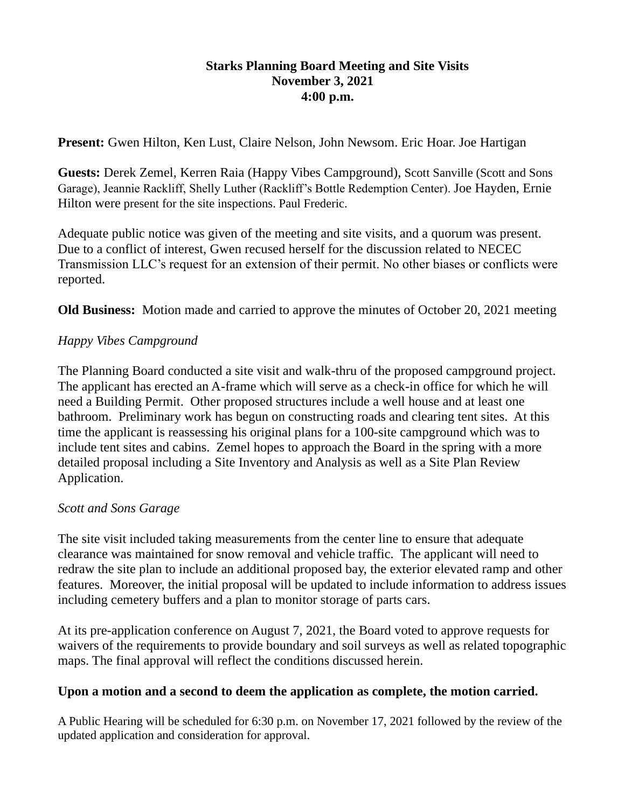### **Starks Planning Board Meeting and Site Visits November 3, 2021 4:00 p.m.**

**Present:** Gwen Hilton, Ken Lust, Claire Nelson, John Newsom. Eric Hoar. Joe Hartigan

**Guests:** Derek Zemel, Kerren Raia (Happy Vibes Campground), Scott Sanville (Scott and Sons Garage), Jeannie Rackliff, Shelly Luther (Rackliff's Bottle Redemption Center). Joe Hayden, Ernie Hilton were present for the site inspections. Paul Frederic.

Adequate public notice was given of the meeting and site visits, and a quorum was present. Due to a conflict of interest, Gwen recused herself for the discussion related to NECEC Transmission LLC's request for an extension of their permit. No other biases or conflicts were reported.

**Old Business:** Motion made and carried to approve the minutes of October 20, 2021 meeting

# *Happy Vibes Campground*

The Planning Board conducted a site visit and walk-thru of the proposed campground project. The applicant has erected an A-frame which will serve as a check-in office for which he will need a Building Permit. Other proposed structures include a well house and at least one bathroom. Preliminary work has begun on constructing roads and clearing tent sites. At this time the applicant is reassessing his original plans for a 100-site campground which was to include tent sites and cabins. Zemel hopes to approach the Board in the spring with a more detailed proposal including a Site Inventory and Analysis as well as a Site Plan Review Application.

### *Scott and Sons Garage*

The site visit included taking measurements from the center line to ensure that adequate clearance was maintained for snow removal and vehicle traffic. The applicant will need to redraw the site plan to include an additional proposed bay, the exterior elevated ramp and other features. Moreover, the initial proposal will be updated to include information to address issues including cemetery buffers and a plan to monitor storage of parts cars.

At its pre-application conference on August 7, 2021, the Board voted to approve requests for waivers of the requirements to provide boundary and soil surveys as well as related topographic maps. The final approval will reflect the conditions discussed herein.

# **Upon a motion and a second to deem the application as complete, the motion carried.**

A Public Hearing will be scheduled for 6:30 p.m. on November 17, 2021 followed by the review of the updated application and consideration for approval.